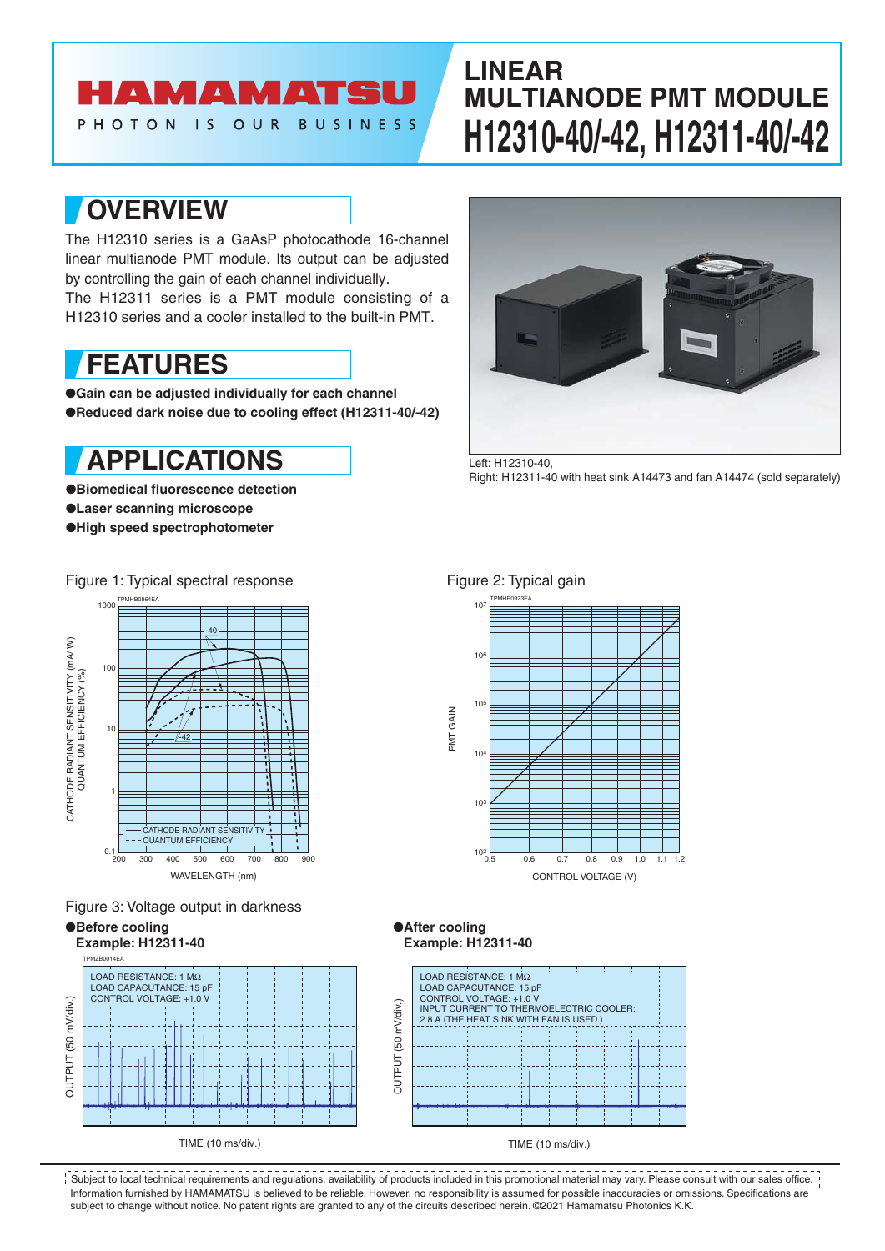# **AMAMATS**

PHOTON **BUSINESS**  $\overline{15}$ OUR

# **LINEAR MULTIANODE PMT MODULE H12310-40/-42, H12311-40/-42**

### **OVERVIEW**

The H12310 series is a GaAsP photocathode 16-channel linear multianode PMT module. Its output can be adjusted by controlling the gain of each channel individually.

The H12311 series is a PMT module consisting of a H12310 series and a cooler installed to the built-in PMT.

### **FEATURES**

●**Gain can be adjusted individually for each channel** ●**Reduced dark noise due to cooling effect (H12311-40/-42)**

# **APPLICATIONS**

●**Biomedical fluorescence detection** ●**Laser scanning microscope** ●**High speed spectrophotometer**



Left: H12310-40, Right: H12311-40 with heat sink A14473 and fan A14474 (sold separately)

### Figure 1: Typical spectral response Figure 2: Typical gain



Figure 3: Voltage output in darkness

●**Before cooling**



#### ●**After cooling Example: H12311-40**

 $10<sup>3</sup>$ 

 $10<sup>4</sup>$ 

PMT GAIN

GAIN **IMc**  105

106

107



10<sup>2</sup> 0.5 0.6 0.7 0.8 0.9 1.0 1.1 1.2

CONTROL VOLTAGE (V)

1.1

Information furnished by HAMAMATSU is believed to be reliable. However, no responsibility is assumed for possible inaccuracies or omissions. Specifications are subject to change without notice. No patent rights are granted to any of the circuits described herein. ©2021 Hamamatsu Photonics K.K. Subject to local technical requirements and regulations, availability of products included in this promotional material may vary. Please consult with our sales office.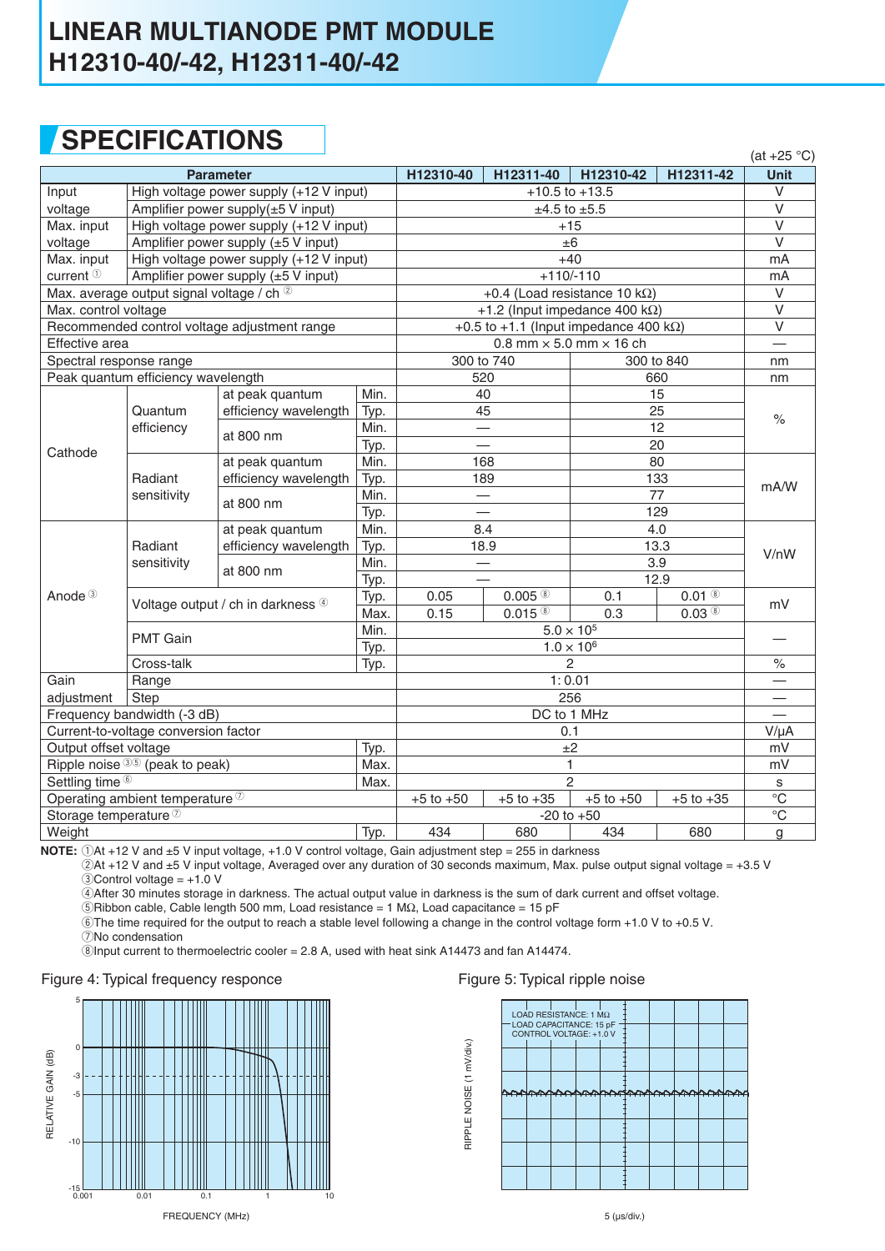### **LINEAR MULTIANODE PMT MODULE H12310-40/-42, H12311-40/-42**

## **SPECIFICATIONS**

|                                                                 |                                         |                       |                                                |                                                                                    |                      |            |                     | $(at +25 °C)$           |
|-----------------------------------------------------------------|-----------------------------------------|-----------------------|------------------------------------------------|------------------------------------------------------------------------------------|----------------------|------------|---------------------|-------------------------|
| <b>Parameter</b>                                                |                                         |                       |                                                | H12310-40                                                                          | H12311-40            | H12310-42  | H12311-42           | Unit                    |
| Input                                                           | High voltage power supply (+12 V input) |                       |                                                | $+10.5$ to $+13.5$                                                                 |                      |            | $\vee$              |                         |
| voltage                                                         | Amplifier power supply(±5 V input)      |                       |                                                | $±4.5$ to $±5.5$                                                                   |                      |            |                     | $\overline{\vee}$       |
| Max. input                                                      | High voltage power supply (+12 V input) |                       |                                                | $+15$                                                                              |                      |            |                     | $\overline{\vee}$       |
| voltage                                                         | Amplifier power supply (±5 V input)     |                       |                                                | ±6                                                                                 |                      |            |                     | $\overline{\vee}$       |
| Max. input                                                      | High voltage power supply (+12 V input) |                       |                                                | $+40$                                                                              |                      |            |                     | mA                      |
| current $0$<br>Amplifier power supply $(\pm 5 \text{ V input})$ |                                         |                       | $+110/-110$                                    |                                                                                    |                      |            | mA                  |                         |
| Max. average output signal voltage / ch 2                       |                                         |                       |                                                | +0.4 (Load resistance 10 k $\Omega$ )                                              |                      |            |                     | $\vee$                  |
| Max. control voltage                                            |                                         |                       |                                                | +1.2 (Input impedance 400 k $\Omega$ )                                             |                      |            |                     | $\overline{\mathsf{V}}$ |
| Recommended control voltage adjustment range                    |                                         |                       | +0.5 to +1.1 (Input impedance 400 k $\Omega$ ) |                                                                                    |                      |            | $\vee$              |                         |
| Effective area                                                  |                                         |                       | 0.8 mm $\times$ 5.0 mm $\times$ 16 ch          |                                                                                    |                      |            |                     |                         |
| Spectral response range                                         |                                         |                       |                                                | 300 to 740                                                                         |                      | 300 to 840 |                     | nm                      |
| Peak quantum efficiency wavelength                              |                                         |                       |                                                | 520                                                                                |                      | 660        |                     | nm                      |
|                                                                 |                                         | at peak quantum       | Min.                                           | 40                                                                                 |                      | 15         |                     |                         |
|                                                                 | Quantum                                 | efficiency wavelength | Typ.                                           | 45                                                                                 |                      | 25         |                     | $\%$                    |
| Cathode                                                         | efficiency                              | at 800 nm             | Min.                                           |                                                                                    |                      | 12         |                     |                         |
|                                                                 |                                         |                       | Typ.                                           |                                                                                    |                      | 20         |                     |                         |
|                                                                 | Radiant<br>sensitivity                  | at peak quantum       | Min.                                           | 168                                                                                |                      | 80         |                     | mA/W                    |
|                                                                 |                                         | efficiency wavelength | Typ.                                           | 189                                                                                |                      | 133        |                     |                         |
|                                                                 |                                         | at 800 nm             | Min.                                           |                                                                                    |                      | 77         |                     |                         |
|                                                                 |                                         |                       | Typ.                                           |                                                                                    |                      |            | 129                 |                         |
|                                                                 | Radiant<br>sensitivity                  | at peak quantum       | Min.                                           | 8.4<br>13.3<br>18.9<br>3.9                                                         |                      | 4.0        |                     | V/nW                    |
|                                                                 |                                         | efficiency wavelength | Typ.                                           |                                                                                    |                      |            |                     |                         |
|                                                                 |                                         | at 800 nm             | Min.                                           |                                                                                    |                      |            |                     |                         |
|                                                                 |                                         |                       | Typ.                                           |                                                                                    |                      |            | 12.9                |                         |
| Anode <sup>3</sup>                                              | Voltage output / ch in darkness 4       |                       | Typ.                                           | 0.05                                                                               | $0.005$ <sup>®</sup> | 0.1        | $0.01$ ®            | mV                      |
|                                                                 |                                         |                       | Max.                                           | 0.15                                                                               | $0.015$ <sup>®</sup> | 0.3        | $0.03$ <sup>®</sup> |                         |
|                                                                 | <b>PMT Gain</b>                         |                       | Min.                                           | $5.0 \times 10^{5}$                                                                |                      |            |                     |                         |
|                                                                 |                                         |                       | Typ.                                           | $1.0 \times 10^{6}$                                                                |                      |            |                     |                         |
|                                                                 | Cross-talk                              |                       | Typ.                                           | $\overline{c}$                                                                     |                      |            | $\%$                |                         |
| Gain                                                            | Range                                   |                       |                                                | 1:0.01                                                                             |                      |            |                     |                         |
| adjustment<br>Step                                              |                                         |                       | 256                                            |                                                                                    |                      |            |                     |                         |
| Frequency bandwidth (-3 dB)                                     |                                         |                       | DC to 1 MHz                                    |                                                                                    |                      |            |                     |                         |
| Current-to-voltage conversion factor                            |                                         |                       | 0.1                                            |                                                                                    |                      |            | $V/\mu A$           |                         |
| Output offset voltage<br>Typ.                                   |                                         |                       |                                                | ±2                                                                                 |                      |            |                     | mV                      |
| Ripple noise $35$ (peak to peak)                                |                                         |                       | Max.                                           | 1<br>$\overline{2}$                                                                |                      |            | mV                  |                         |
| Settling time <sup>6</sup><br>Max.                              |                                         |                       |                                                |                                                                                    |                      |            | s<br>$\overline{C}$ |                         |
| Operating ambient temperature 2                                 |                                         |                       |                                                | $+5$ to $+50$<br>$+5$ to $+50$<br>$+5$ to $+35$<br>$+5$ to $+35$<br>$-20$ to $+50$ |                      |            | $\rm ^{\circ}C$     |                         |
| Storage temperature <sup>7</sup>                                |                                         |                       |                                                |                                                                                    |                      |            |                     |                         |
| Weight                                                          |                                         |                       | Typ.                                           | 434                                                                                | 680                  | 434        | 680                 | g                       |

**NOTE:**  $\bigcirc$ At +12 V and ±5 V input voltage, +1.0 V control voltage, Gain adjustment step = 255 in darkness

2At +12 V and ±5 V input voltage, Averaged over any duration of 30 seconds maximum, Max. pulse output signal voltage = +3.5 V  $\textcircled{3}$ Control voltage = +1.0 V

4After 30 minutes storage in darkness. The actual output value in darkness is the sum of dark current and offset voltage.

 $\overline{5}$ Ribbon cable, Cable length 500 mm, Load resistance = 1 M $\Omega$ , Load capacitance = 15 pF

6The time required for the output to reach a stable level following a change in the control voltage form +1.0 V to +0.5 V.

7No condensation

 $\ddot{\textcircled{s}}$ Input current to thermoelectric cooler = 2.8 A, used with heat sink A14473 and fan A14474.

#### Figure 4: Typical frequency responce



#### Figure 5: Typical ripple noise

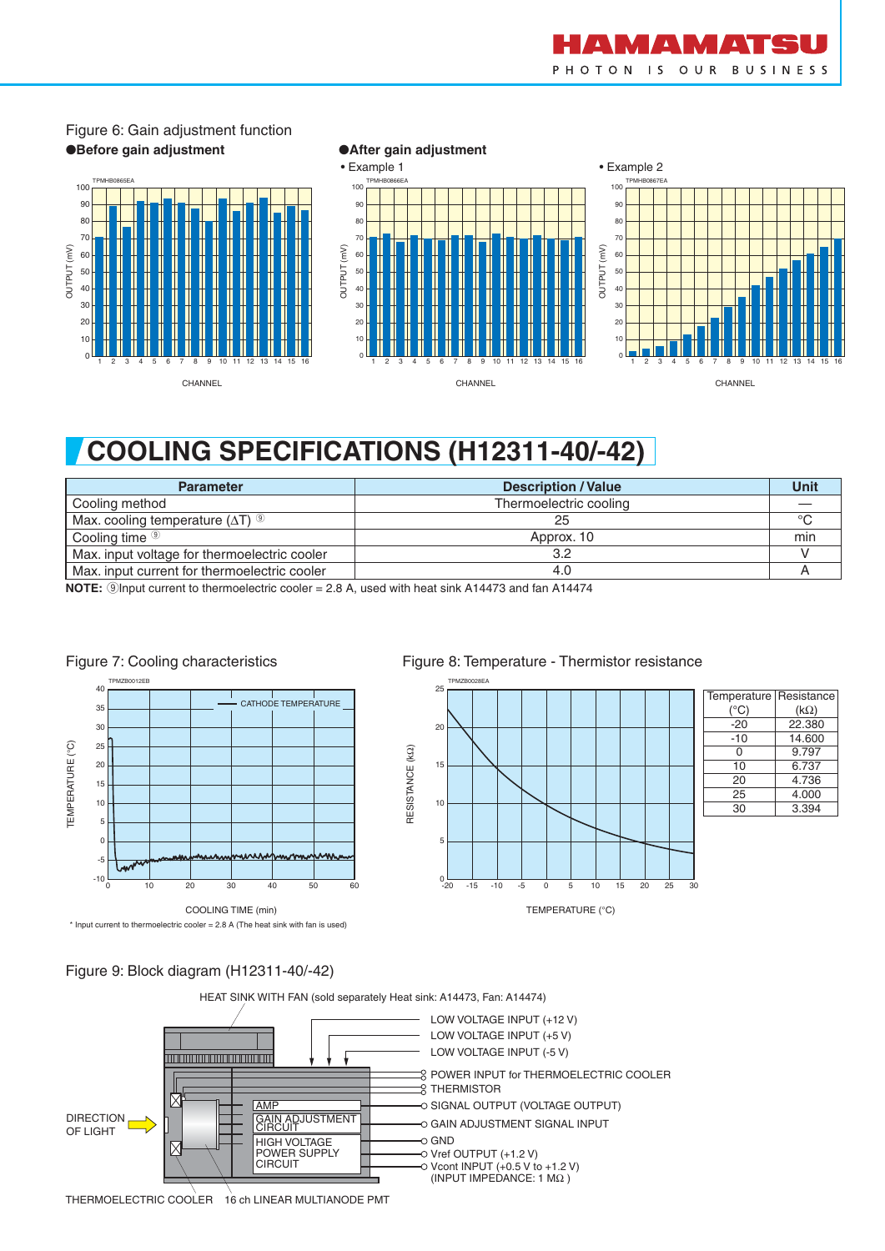



## Figure 6: Gain adjustment function

# **COOLING SPECIFICATIONS (H12311-40/-42)**

| <b>Parameter</b>                                   | <b>Description / Value</b> | Unit |
|----------------------------------------------------|----------------------------|------|
| Cooling method                                     | Thermoelectric cooling     |      |
| Max. cooling temperature $(\Delta T)$ <sup>9</sup> | 25                         | °C   |
| Cooling time <sup><sup>®</sup></sup>               | Approx. 10                 | min  |
| Max. input voltage for thermoelectric cooler       | 3.2                        |      |
| Max, input current for thermoelectric cooler       | 4.0                        |      |

**NOTE:** 9Input current to thermoelectric cooler = 2.8 A, used with heat sink A14473 and fan A14474



#### Figure 8: Temperature - Thermistor resistance TPMZB0028EA <sub>25</sub>





#### Figure 9: Block diagram (H12311-40/-42)



RESISTANCE (kΩ)

RESISTANCE (KQ)

16 ch LINEAR MULTIANODE PMT THERMOELECTRIC COOLER